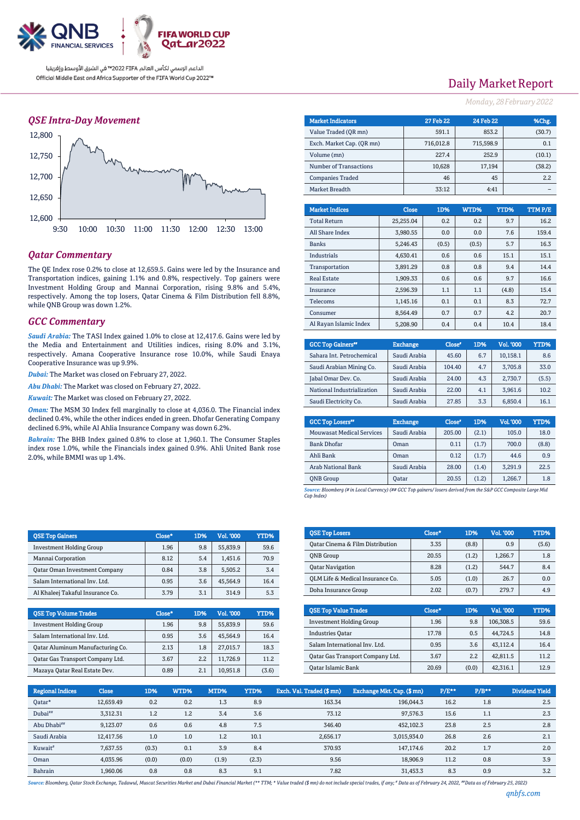

### *QSE Intra-Day Movement*



## *Qatar Commentary*

The QE Index rose 0.2% to close at 12,659.5. Gains were led by the Insurance and Transportation indices, gaining 1.1% and 0.8%, respectively. Top gainers were Investment Holding Group and Mannai Corporation, rising 9.8% and 5.4%, respectively. Among the top losers, Qatar Cinema & Film Distribution fell 8.8%, while QNB Group was down 1.2%.

#### *GCC Commentary*

*Saudi Arabia:* The TASI Index gained 1.0% to close at 12,417.6. Gains were led by the Media and Entertainment and Utilities indices, rising 8.0% and 3.1%, respectively. Amana Cooperative Insurance rose 10.0%, while Saudi Enaya Cooperative Insurance was up 9.9%.

*Dubai:* The Market was closed on February 27, 2022.

*Abu Dhabi:* The Market was closed on February 27, 2022.

*Kuwait:* The Market was closed on February 27, 2022.

*Oman:* The MSM 30 Index fell marginally to close at 4,036.0. The Financial index declined 0.4%, while the other indices ended in green. Dhofar Generating Company declined 6.9%, while Al Ahlia Insurance Company was down 6.2%.

*Bahrain:* The BHB Index gained 0.8% to close at 1,960.1. The Consumer Staples index rose 1.0%, while the Financials index gained 0.9%. Ahli United Bank rose 2.0%, while BMMI was up 1.4%.

| <b>QSE Top Gainers</b>               | Close* | 1D% | <b>Vol. '000</b> | YTD% |
|--------------------------------------|--------|-----|------------------|------|
| <b>Investment Holding Group</b>      | 1.96   | 9.8 | 55,839.9         | 59.6 |
| Mannai Corporation                   | 8.12   | 5.4 | 1,451.6          | 70.9 |
| <b>Qatar Oman Investment Company</b> | 0.84   | 3.8 | 5,505.2          | 3.4  |
| Salam International Inv. Ltd.        | 0.95   | 3.6 | 45.564.9         | 16.4 |
| Al Khaleej Takaful Insurance Co.     | 3.79   | 3.1 | 314.9            | 5.3  |

| <b>QSE Top Volume Trades</b>            | Close* | 1D%  | Vol. '000 | YTD%  |
|-----------------------------------------|--------|------|-----------|-------|
| <b>Investment Holding Group</b>         | 1.96   | 9.8  | 55.839.9  | 59.6  |
| Salam International Inv. Ltd.           | 0.95   | 3.6  | 45.564.9  | 16.4  |
| <b>Qatar Aluminum Manufacturing Co.</b> | 2.13   | 1.8  | 27.015.7  | 18.3  |
| Qatar Gas Transport Company Ltd.        | 3.67   | 2.2. | 11.726.9  | 11.2  |
| Mazaya Qatar Real Estate Dev.           | 0.89   | 2.1  | 10.951.8  | (3.6) |

# Daily Market Report

*Monday, 28February2022*

| <b>Market Indicators</b>  | <b>27 Feb 22</b> | 24 Feb 22 | %Chg.  |
|---------------------------|------------------|-----------|--------|
| Value Traded (OR mn)      | 591.1            | 853.2     | (30.7) |
| Exch. Market Cap. (OR mn) | 716,012.8        | 715,598.9 | 0.1    |
| Volume (mn)               | 227.4            | 252.9     | (10.1) |
| Number of Transactions    | 10,628           | 17,194    | (38.2) |
| <b>Companies Traded</b>   | 46               | 45        | 2.2    |
| Market Breadth            | 33:12            | 4:41      |        |
|                           |                  |           |        |
|                           |                  |           |        |

| <b>Market Indices</b>  | <b>Close</b> | 1D%   | WTD%  | YTD%  | <b>TTMP/E</b> |
|------------------------|--------------|-------|-------|-------|---------------|
| <b>Total Return</b>    | 25.255.04    | 0.2   | 0.2   | 9.7   | 16.2          |
| All Share Index        | 3.980.55     | 0.0   | 0.0   | 7.6   | 159.4         |
| <b>Banks</b>           | 5.246.43     | (0.5) | (0.5) | 5.7   | 16.3          |
| Industrials            | 4.630.41     | 0.6   | 0.6   | 15.1  | 15.1          |
| Transportation         | 3.891.29     | 0.8   | 0.8   | 9.4   | 14.4          |
| <b>Real Estate</b>     | 1,909.33     | 0.6   | 0.6   | 9.7   | 16.6          |
| Insurance              | 2,596.39     | 1.1   | 1.1   | (4.8) | 15.4          |
| Telecoms               | 1.145.16     | 0.1   | 0.1   | 8.3   | 72.7          |
| Consumer               | 8.564.49     | 0.7   | 0.7   | 4.2   | 20.7          |
| Al Ravan Islamic Index | 5.208.90     | 0.4   | 0.4   | 10.4  | 18.4          |

| <b>GCC Top Gainers"</b>    | <b>Exchange</b> | Close* | 1D% | Vol. '000 | YTD%  |
|----------------------------|-----------------|--------|-----|-----------|-------|
| Sahara Int. Petrochemical  | Saudi Arabia    | 45.60  | 6.7 | 10.158.1  | 8.6   |
| Saudi Arabian Mining Co.   | Saudi Arabia    | 104.40 | 4.7 | 3.705.8   | 33.0  |
| Jabal Omar Dev. Co.        | Saudi Arabia    | 24.00  | 4.3 | 2.730.7   | (5.5) |
| National Industrialization | Saudi Arabia    | 22.00  | 4.1 | 3.961.6   | 10.2  |
| Saudi Electricity Co.      | Saudi Arabia    | 27.85  | 3.3 | 6.850.4   | 16.1  |

| <b>GCC Top Losers</b> <sup>40</sup> | <b>Exchange</b> | Close <sup>®</sup> | 1D%   | Vol. '000 | YTD%  |
|-------------------------------------|-----------------|--------------------|-------|-----------|-------|
| <b>Mouwasat Medical Services</b>    | Saudi Arabia    | 205.00             | (2.1) | 105.0     | 18.0  |
| <b>Bank Dhofar</b>                  | Oman            | 0.11               | (1.7) | 700.0     | (8.8) |
| Ahli Bank                           | Oman            | 0.12               | (1.7) | 44.6      | 0.9   |
| <b>Arab National Bank</b>           | Saudi Arabia    | 28.00              | (1.4) | 3.291.9   | 22.5  |
| <b>ONB</b> Group                    | Oatar           | 20.55              | (1.2) | 1,266.7   | 1.8   |

*Source: Bloomberg (# in Local Currency) (## GCC Top gainers/ losers derived from the S&P GCC Composite Large Mid Cap Index)*

| <b>QSE Top Losers</b>            | Close* | 1D%   | <b>Vol. '000</b> | <b>YTD%</b> |
|----------------------------------|--------|-------|------------------|-------------|
| Oatar Cinema & Film Distribution | 3.35   | (8.8) | 0.9              | (5.6)       |
| <b>ONB</b> Group                 | 20.55  | (1.2) | 1.266.7          | 1.8         |
| <b>Qatar Navigation</b>          | 8.28   | (1.2) | 544.7            | 8.4         |
| OLM Life & Medical Insurance Co. | 5.05   | (1.0) | 26.7             | 0.0         |
| Doha Insurance Group             | 2.02   | (0.7) | 279.7            | 4.9         |

| <b>OSE Top Value Trades</b>      | Close* | 1D%   | Val. '000 | YTD% |
|----------------------------------|--------|-------|-----------|------|
| <b>Investment Holding Group</b>  | 1.96   | 9.8   | 106,308.5 | 59.6 |
| <b>Industries Oatar</b>          | 17.78  | 0.5   | 44.724.5  | 14.8 |
| Salam International Inv. Ltd.    | 0.95   | 3.6   | 43.112.4  | 16.4 |
| Oatar Gas Transport Company Ltd. | 3.67   | 2.2   | 42.811.5  | 11.2 |
| Qatar Islamic Bank               | 20.69  | (0.0) | 42.316.1  | 12.9 |

| <b>Regional Indices</b> | <b>Close</b> | 1D%   | WTD%  | MTD%  | YTD%  | Exch. Val. Traded (\$ mn) | Exchange Mkt. Cap. (\$mn) | P/E** | $P/B**$ | <b>Dividend Yield</b> |
|-------------------------|--------------|-------|-------|-------|-------|---------------------------|---------------------------|-------|---------|-----------------------|
| Oatar*                  | 12.659.49    | 0.2   | 0.2   | 1.3   | 8.9   | 163.34                    | 196.044.3                 | 16.2  | 1.8     | 2.5                   |
| Dubai <sup>##</sup>     | 3.312.31     | 1.2   | 1.2   | 3.4   | 3.6   | 73.12                     | 97.576.3                  | 15.6  | 1.1     | 2.3                   |
| Abu Dhabi##             | 9,123.07     | 0.6   | 0.6   | 4.8   | 7.5   | 346.40                    | 452.102.3                 | 23.8  | 2.5     | 2.8                   |
| Saudi Arabia            | 12.417.56    | 1.0   | 1.0   | 1.2   | 10.1  | 2.656.17                  | 3,015,934.0               | 26.8  | 2.6     | 2.1                   |
| Kuwait <sup>#</sup>     | 7.637.55     | (0.3) | 0.1   | 3.9   | 8.4   | 370.93                    | 147.174.6                 | 20.2  | 1.7     | 2.0                   |
| Oman                    | 4,035.96     | (0.0) | (0.0) | (1.9) | (2.3) | 9.56                      | 18.906.9                  | 11.2  | 0.8     | 3.9                   |
| Bahrain                 | 1.960.06     | 0.8   | 0.8   | 8.3   | 9.1   | 7.82                      | 31.453.3                  | 8.3   | 0.9     | 3.2                   |

Source: Bloomberg, Qatar Stock Exchange, Tadawul, Muscat Securities Market and Dubai Financial Market (\*\* TTM; \* Value traded (\$ mn) do not include special trades, if any; \* Data as of February 24, 2022, \*\*Data as of Febru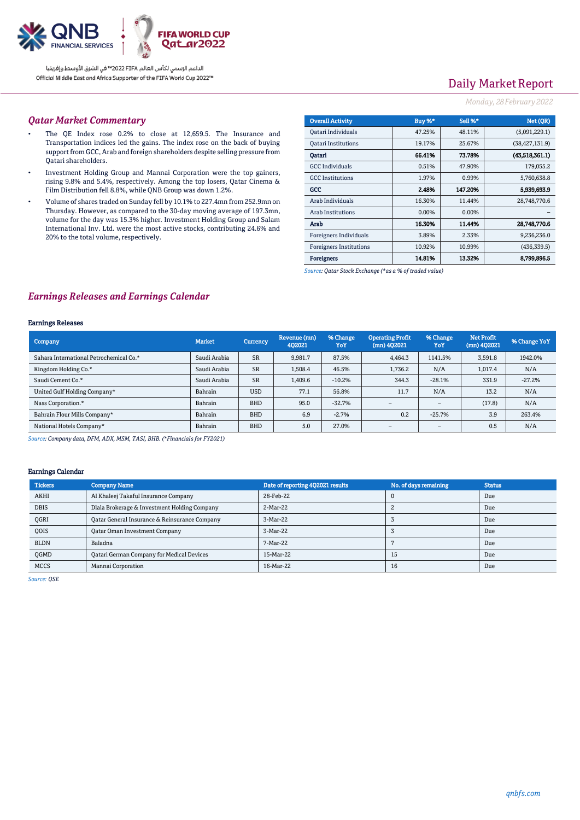

# Daily Market Report

### *Monday, 28February2022*

### *Qatar Market Commentary*

- The QE Index rose 0.2% to close at 12,659.5. The Insurance and Transportation indices led the gains. The index rose on the back of buying support from GCC, Arab and foreign shareholders despite selling pressure from Qatari shareholders.
- Investment Holding Group and Mannai Corporation were the top gainers, rising 9.8% and 5.4%, respectively. Among the top losers, Qatar Cinema & Film Distribution fell 8.8%, while QNB Group was down 1.2%.
- Volume of shares traded on Sunday fell by 10.1% to 227.4mn from 252.9mn on Thursday. However, as compared to the 30-day moving average of 197.3mn, volume for the day was 15.3% higher. Investment Holding Group and Salam International Inv. Ltd. were the most active stocks, contributing 24.6% and 20% to the total volume, respectively.

| <b>Overall Activity</b>        | Buy %*   | Sell %* | Net (OR)         |
|--------------------------------|----------|---------|------------------|
| Qatari Individuals             | 47.25%   | 48.11%  | (5,091,229.1)    |
| <b>Oatari Institutions</b>     | 19.17%   | 25.67%  | (38, 427, 131.9) |
| Oatari                         | 66.41%   | 73.78%  | (43,518,361.1)   |
| <b>GCC</b> Individuals         | 0.51%    | 47.90%  | 179,055.2        |
| <b>GCC</b> Institutions        | 1.97%    | 0.99%   | 5,760,638.8      |
| GCC                            | 2.48%    | 147.20% | 5.939,693.9      |
| Arab Individuals               | 16.30%   | 11.44%  | 28,748,770.6     |
| <b>Arab Institutions</b>       | $0.00\%$ | 0.00%   |                  |
| Arab                           | 16.30%   | 11.44%  | 28,748,770.6     |
| <b>Foreigners Individuals</b>  | 3.89%    | 2.33%   | 9,236,236.0      |
| <b>Foreigners Institutions</b> | 10.92%   | 10.99%  | (436, 339.5)     |
| <b>Foreigners</b>              | 14.81%   | 13.32%  | 8,799,896.5      |

*Source: Qatar Stock Exchange (\*as a % of traded value)*

### *Earnings Releases and Earnings Calendar*

#### Earnings Releases

| Company                                 | <b>Market</b> | <b>Currency</b> | Revenue (mn)<br>402021 | % Change<br>YoY | <b>Operating Profit</b><br>$(mn)$ 402021 | % Change<br>YoY          | <b>Net Profit</b><br>$(mn)$ 4Q2021 | % Change YoY |
|-----------------------------------------|---------------|-----------------|------------------------|-----------------|------------------------------------------|--------------------------|------------------------------------|--------------|
| Sahara International Petrochemical Co.* | Saudi Arabia  | <b>SR</b>       | 9,981.7                | 87.5%           | 4,464.3                                  | 1141.5%                  | 3.591.8                            | 1942.0%      |
| Kingdom Holding Co.*                    | Saudi Arabia  | <b>SR</b>       | 1.508.4                | 46.5%           | 1,736.2                                  | N/A                      | 1.017.4                            | N/A          |
| Saudi Cement Co.*                       | Saudi Arabia  | <b>SR</b>       | 1,409.6                | $-10.2%$        | 344.3                                    | $-28.1%$                 | 331.9                              | $-27.2%$     |
| United Gulf Holding Company*            | Bahrain       | <b>USD</b>      | 77.1                   | 56.8%           | 11.7                                     | N/A                      | 13.2                               | N/A          |
| Nass Corporation.*                      | Bahrain       | <b>BHD</b>      | 95.0                   | $-32.7%$        |                                          | $\overline{\phantom{a}}$ | (17.8)                             | N/A          |
| Bahrain Flour Mills Company*            | Bahrain       | <b>BHD</b>      | 6.9                    | $-2.7%$         | 0.2                                      | $-25.7%$                 | 3.9                                | 263.4%       |
| National Hotels Company*                | Bahrain       | <b>BHD</b>      | 5.0                    | 27.0%           | $\overline{\phantom{0}}$                 | $\overline{\phantom{a}}$ | 0.5                                | N/A          |

*Source: Company data, DFM, ADX, MSM, TASI, BHB. (\*Financials for FY2021)*

#### Earnings Calendar

| <b>Tickers</b> | <b>Company Name</b>                           | Date of reporting 4Q2021 results | No. of days remaining | <b>Status</b> |
|----------------|-----------------------------------------------|----------------------------------|-----------------------|---------------|
| <b>AKHI</b>    | Al Khaleej Takaful Insurance Company          | 28-Feb-22                        |                       | Due           |
| <b>DBIS</b>    | Dlala Brokerage & Investment Holding Company  | 2-Mar-22                         |                       | Due           |
| OGRI           | Qatar General Insurance & Reinsurance Company | 3-Mar-22                         |                       | Due           |
| <b>OOIS</b>    | <b>Qatar Oman Investment Company</b>          | 3-Mar-22                         |                       | Due           |
| <b>BLDN</b>    | Baladna                                       | 7-Mar-22                         |                       | Due           |
| <b>OGMD</b>    | Qatari German Company for Medical Devices     | 15-Mar-22                        | 15                    | Due           |
| <b>MCCS</b>    | Mannai Corporation                            | 16-Mar-22                        | 16                    | Due           |

*Source: QSE*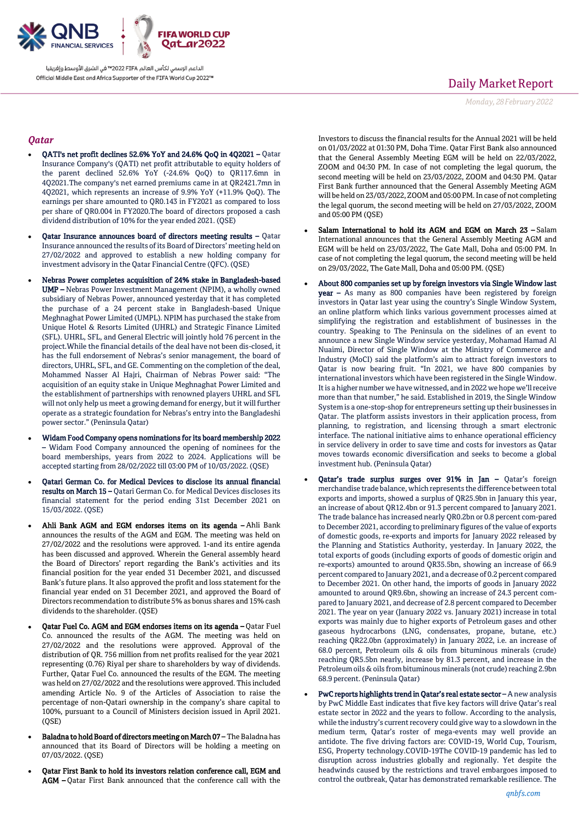

# Daily Market Report

*Monday, 28February2022*

### *Qatar*

- QATI's net profit declines 52.6% YoY and 24.6% QoQ in 4Q2021 Qatar Insurance Company's (QATI) net profit attributable to equity holders of the parent declined 52.6% YoY (-24.6% QoQ) to QR117.6mn in 4Q2021.The company's net earned premiums came in at QR2421.7mn in 4Q2021, which represents an increase of 9.9% YoY (+11.9% QoQ). The earnings per share amounted to QR0.143 in FY2021 as compared to loss per share of QR0.004 in FY2020.The board of directors proposed a cash dividend distribution of 10% for the year ended 2021. (QSE)
- Qatar Insurance announces board of directors meeting results Qatar Insurance announced the results of its Board of Directors' meeting held on 27/02/2022 and approved to establish a new holding company for investment advisory in the Qatar Financial Centre (QFC). (QSE)
- Nebras Power completes acquisition of 24% stake in Bangladesh-based UMP – Nebras Power Investment Management (NPIM), a wholly owned subsidiary of Nebras Power, announced yesterday that it has completed the purchase of a 24 percent stake in Bangladesh-based Unique Meghnaghat Power Limited (UMPL). NPIM has purchased the stake from Unique Hotel & Resorts Limited (UHRL) and Strategic Finance Limited (SFL). UHRL, SFL, and General Electric will jointly hold 76 percent in the project.While the financial details of the deal have not been dis-closed, it has the full endorsement of Nebras's senior management, the board of directors, UHRL, SFL, and GE. Commenting on the completion of the deal, Mohammed Nasser Al Hajri, Chairman of Nebras Power said: "The acquisition of an equity stake in Unique Meghnaghat Power Limited and the establishment of partnerships with renowned players UHRL and SFL will not only help us meet a growing demand for energy, but it will further operate as a strategic foundation for Nebras's entry into the Bangladeshi power sector." (Peninsula Qatar)
- Widam Food Company opens nominations for its board membership 2022 – Widam Food Company announced the opening of nominees for the board memberships, years from 2022 to 2024. Applications will be accepted starting from 28/02/2022 till 03:00 PM of 10/03/2022. (QSE)
- Qatari German Co. for Medical Devices to disclose its annual financial results on March 15 – Qatari German Co. for Medical Devices discloses its financial statement for the period ending 31st December 2021 on 15/03/2022. (QSE)
- Ahli Bank AGM and EGM endorses items on its agenda Ahli Bank announces the results of the AGM and EGM. The meeting was held on 27/02/2022 and the resolutions were approved. 1-and its entire agenda has been discussed and approved. Wherein the General assembly heard the Board of Directors' report regarding the Bank's activities and its financial position for the year ended 31 December 2021, and discussed Bank's future plans. It also approved the profit and loss statement for the financial year ended on 31 December 2021, and approved the Board of Directors recommendation to distribute 5% as bonus shares and 15% cash dividends to the shareholder. (OSE)
- Qatar Fuel Co. AGM and EGM endorses items on its agenda Qatar Fuel Co. announced the results of the AGM. The meeting was held on 27/02/2022 and the resolutions were approved. Approval of the distribution of QR. 756 million from net profits realised for the year 2021 representing (0.76) Riyal per share to shareholders by way of dividends. Further, Qatar Fuel Co. announced the results of the EGM. The meeting was held on 27/02/2022 and the resolutions were approved. This included amending Article No. 9 of the Articles of Association to raise the percentage of non-Qatari ownership in the company's share capital to 100%, pursuant to a Council of Ministers decision issued in April 2021.  $(OSE)$
- Baladna to hold Board of directors meeting on March 07 The Baladna has announced that its Board of Directors will be holding a meeting on 07/03/2022. (QSE)
- Qatar First Bank to hold its investors relation conference call, EGM and AGM – Qatar First Bank announced that the conference call with the

Investors to discuss the financial results for the Annual 2021 will be held on 01/03/2022 at 01:30 PM, Doha Time. Qatar First Bank also announced that the General Assembly Meeting EGM will be held on 22/03/2022, ZOOM and 04:30 PM. In case of not completing the legal quorum, the second meeting will be held on 23/03/2022, ZOOM and 04:30 PM. Qatar First Bank further announced that the General Assembly Meeting AGM will be held on 23/03/2022, ZOOM and 05:00 PM. In case of not completing the legal quorum, the second meeting will be held on 27/03/2022, ZOOM and 05:00 PM (QSE)

- Salam International to hold its AGM and EGM on March 23 Salam International announces that the General Assembly Meeting AGM and EGM will be held on 23/03/2022, The Gate Mall, Doha and 05:00 PM. In case of not completing the legal quorum, the second meeting will be held on 29/03/2022, The Gate Mall, Doha and 05:00 PM. (QSE)
- About 800 companies set up by foreign investors via Single Window last year – As many as 800 companies have been registered by foreign investors in Qatar last year using the country's Single Window System, an online platform which links various government processes aimed at simplifying the registration and establishment of businesses in the country. Speaking to The Peninsula on the sidelines of an event to announce a new Single Window service yesterday, Mohamad Hamad Al Nuaimi, Director of Single Window at the Ministry of Commerce and Industry (MoCI) said the platform's aim to attract foreign investors to Qatar is now bearing fruit. "In 2021, we have 800 companies by international investors which have been registered in the Single Window. It is a higher number we have witnessed, and in 2022 we hope we'll receive more than that number," he said. Established in 2019, the Single Window System is a one-stop-shop for entrepreneurs setting up their businesses in Qatar. The platform assists investors in their application process, from planning, to registration, and licensing through a smart electronic interface. The national initiative aims to enhance operational efficiency in service delivery in order to save time and costs for investors as Qatar moves towards economic diversification and seeks to become a global investment hub. (Peninsula Qatar)
- Qatar's trade surplus surges over 91% in Jan Qatar's foreign merchandise trade balance, which represents the difference between total exports and imports, showed a surplus of QR25.9bn in January this year, an increase of about QR12.4bn or 91.3 percent compared to January 2021. The trade balance has increased nearly QR0.2bn or 0.8 percent com-pared to December 2021, according to preliminary figures of the value of exports of domestic goods, re-exports and imports for January 2022 released by the Planning and Statistics Authority, yesterday. In January 2022, the total exports of goods (including exports of goods of domestic origin and re-exports) amounted to around QR35.5bn, showing an increase of 66.9 percent compared to January 2021, and a decrease of 0.2 percent compared to December 2021. On other hand, the imports of goods in January 2022 amounted to around QR9.6bn, showing an increase of 24.3 percent compared to January 2021, and decrease of 2.8 percent compared to December 2021. The year on year (January 2022 vs. January 2021) increase in total exports was mainly due to higher exports of Petroleum gases and other gaseous hydrocarbons (LNG, condensates, propane, butane, etc.) reaching QR22.0bn (approximately) in January 2022, i.e. an increase of 68.0 percent, Petroleum oils & oils from bituminous minerals (crude) reaching QR5.5bn nearly, increase by 81.3 percent, and increase in the Petroleum oils & oils from bituminous minerals (not crude) reaching 2.9bn 68.9 percent. (Peninsula Qatar)
- PwC reports highlights trend in Qatar's real estate sector A new analysis by PwC Middle East indicates that five key factors will drive Qatar's real estate sector in 2022 and the years to follow. According to the analysis, while the industry's current recovery could give way to a slowdown in the medium term, Qatar's roster of mega-events may well provide an antidote. The five driving factors are: COVID-19, World Cup, Tourism, ESG, Property technology.COVID-19The COVID-19 pandemic has led to disruption across industries globally and regionally. Yet despite the headwinds caused by the restrictions and travel embargoes imposed to control the outbreak, Qatar has demonstrated remarkable resilience. The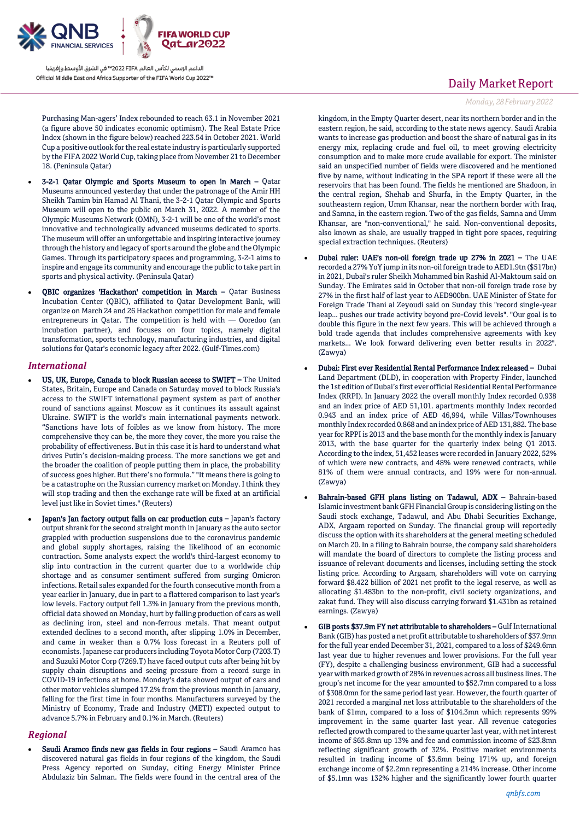

Purchasing Man-agers' Index rebounded to reach 63.1 in November 2021 (a figure above 50 indicates economic optimism). The Real Estate Price Index (shown in the figure below) reached 223.54 in October 2021. World Cup a positive outlook for the real estate industry is particularly supported by the FIFA 2022 World Cup, taking place from November 21 to December 18. (Peninsula Qatar)

- 3-2-1 Qatar Olympic and Sports Museum to open in March Qatar Museums announced yesterday that under the patronage of the Amir HH Sheikh Tamim bin Hamad Al Thani, the 3-2-1 Qatar Olympic and Sports Museum will open to the public on March 31, 2022. A member of the Olympic Museums Network (OMN), 3-2-1 will be one of the world's most innovative and technologically advanced museums dedicated to sports. The museum will offer an unforgettable and inspiring interactive journey through the history and legacy of sports around the globe and the Olympic Games. Through its participatory spaces and programming, 3-2-1 aims to inspire and engage its community and encourage the public to take part in sports and physical activity. (Peninsula Qatar)
- QBIC organizes 'Hackathon' competition in March Qatar Business Incubation Center (QBIC), affiliated to Qatar Development Bank, will organize on March 24 and 26 Hackathon competition for male and female entrepreneurs in Qatar. The competition is held with — Ooredoo (an incubation partner), and focuses on four topics, namely digital transformation, sports technology, manufacturing industries, and digital solutions for Qatar's economic legacy after 2022. (Gulf-Times.com)

#### *International*

- US, UK, Europe, Canada to block Russian access to SWIFT The United States, Britain, Europe and Canada on Saturday moved to block Russia's access to the SWIFT international payment system as part of another round of sanctions against Moscow as it continues its assault against Ukraine. SWIFT is the world's main international payments network. "Sanctions have lots of foibles as we know from history. The more comprehensive they can be, the more they cover, the more you raise the probability of effectiveness. But in this case it is hard to understand what drives Putin's decision-making process. The more sanctions we get and the broader the coalition of people putting them in place, the probability of success goes higher. But there's no formula." "It means there is going to be a catastrophe on the Russian currency market on Monday. I think they will stop trading and then the exchange rate will be fixed at an artificial level just like in Soviet times." (Reuters)
- Japan's Jan factory output falls on car production cuts Japan's factory output shrank for the second straight month in January as the auto sector grappled with production suspensions due to the coronavirus pandemic and global supply shortages, raising the likelihood of an economic contraction. Some analysts expect the world's third-largest economy to slip into contraction in the current quarter due to a worldwide chip shortage and as consumer sentiment suffered from surging Omicron infections. Retail sales expanded for the fourth consecutive month from a year earlier in January, due in part to a flattered comparison to last year's low levels. Factory output fell 1.3% in January from the previous month, official data showed on Monday, hurt by falling production of cars as well as declining iron, steel and non-ferrous metals. That meant output extended declines to a second month, after slipping 1.0% in December, and came in weaker than a 0.7% loss forecast in a Reuters poll of economists. Japanese car producers including Toyota Motor Corp (7203.T) and Suzuki Motor Corp (7269.T) have faced output cuts after being hit by supply chain disruptions and seeing pressure from a record surge in COVID-19 infections at home. Monday's data showed output of cars and other motor vehicles slumped 17.2% from the previous month in January, falling for the first time in four months. Manufacturers surveyed by the Ministry of Economy, Trade and Industry (METI) expected output to advance 5.7% in February and 0.1% in March. (Reuters)

#### *Regional*

 Saudi Aramco finds new gas fields in four regions – Saudi Aramco has discovered natural gas fields in four regions of the kingdom, the Saudi Press Agency reported on Sunday, citing Energy Minister Prince Abdulaziz bin Salman. The fields were found in the central area of the

## Daily Market Report

*Monday, 28February2022*

kingdom, in the Empty Quarter desert, near its northern border and in the eastern region, he said, according to the state news agency. Saudi Arabia wants to increase gas production and boost the share of natural gas in its energy mix, replacing crude and fuel oil, to meet growing electricity consumption and to make more crude available for export. The minister said an unspecified number of fields were discovered and he mentioned five by name, without indicating in the SPA report if these were all the reservoirs that has been found. The fields he mentioned are Shadoon, in the central region, Shehab and Shurfa, in the Empty Quarter, in the southeastern region, Umm Khansar, near the northern border with Iraq, and Samna, in the eastern region. Two of the gas fields, Samna and Umm Khansar, are "non-conventional," he said. Non-conventional deposits, also known as shale, are usually trapped in tight pore spaces, requiring special extraction techniques. (Reuters)

- Dubai ruler: UAE's non-oil foreign trade up 27% in 2021 The UAE recorded a 27% YoY jump in its non-oil foreign trade to AED1.9tn (\$517bn) in 2021, Dubai's ruler Sheikh Mohammed bin Rashid Al-Maktoum said on Sunday. The Emirates said in October that non-oil foreign trade rose by 27% in the first half of last year to AED900bn. UAE Minister of State for Foreign Trade Thani al Zeyoudi said on Sunday this "record single-year leap... pushes our trade activity beyond pre-Covid levels". "Our goal is to double this figure in the next few years. This will be achieved through a bold trade agenda that includes comprehensive agreements with key markets... We look forward delivering even better results in 2022". (Zawya)
- Dubai: First ever Residential Rental Performance Index released Dubai Land Department (DLD), in cooperation with Property Finder, launched the 1st edition of Dubai's first ever official Residential Rental Performance Index (RRPI). In January 2022 the overall monthly Index recorded 0.938 and an index price of AED 51,101. apartments monthly Index recorded 0.943 and an index price of AED 46,994, while Villas/Townhouses monthly Index recorded 0.868 and an index price of AED 131,882. The base year for RPPI is 2013 and the base month for the monthly index is January 2013, with the base quarter for the quarterly index being Q1 2013. According to the index, 51,452 leases were recorded in January 2022, 52% of which were new contracts, and 48% were renewed contracts, while 81% of them were annual contracts, and 19% were for non-annual. (Zawya)
- Bahrain-based GFH plans listing on Tadawul, ADX Bahrain-based Islamic investment bank GFH Financial Group is considering listing on the Saudi stock exchange, Tadawul, and Abu Dhabi Securities Exchange, ADX, Argaam reported on Sunday. The financial group will reportedly discuss the option with its shareholders at the general meeting scheduled on March 20. In a filing to Bahrain bourse, the company said shareholders will mandate the board of directors to complete the listing process and issuance of relevant documents and licenses, including setting the stock listing price. According to Argaam, shareholders will vote on carrying forward \$8.422 billion of 2021 net profit to the legal reserve, as well as allocating \$1.483bn to the non-profit, civil society organizations, and zakat fund. They will also discuss carrying forward \$1.431bn as retained earnings. (Zawya)
- GIB posts \$37.9m FY net attributable to shareholders Gulf International Bank (GIB) has posted a net profit attributable to shareholders of \$37.9mn for the full year ended December 31, 2021, compared to a loss of \$249.6mn last year due to higher revenues and lower provisions. For the full year (FY), despite a challenging business environment, GIB had a successful year with marked growth of 28% in revenues across all business lines. The group's net income for the year amounted to \$52.7mn compared to a loss of \$308.0mn for the same period last year. However, the fourth quarter of 2021 recorded a marginal net loss attributable to the shareholders of the bank of \$1mn, compared to a loss of \$104.3mn which represents 99% improvement in the same quarter last year. All revenue categories reflected growth compared to the same quarter last year, with net interest income of \$65.8mn up 13% and fee and commission income of \$23.8mn reflecting significant growth of 32%. Positive market environments resulted in trading income of \$3.6mn being 171% up, and foreign exchange income of \$2.2mn representing a 214% increase. Other income of \$5.1mn was 132% higher and the significantly lower fourth quarter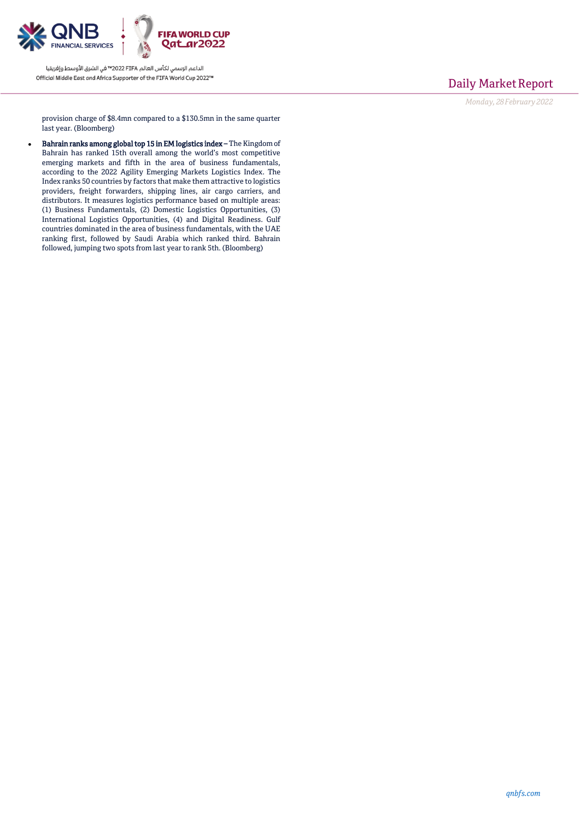

## Daily Market Report

*Monday, 28February2022*

provision charge of \$8.4mn compared to a \$130.5mn in the same quarter last year. (Bloomberg)

 Bahrain ranks among global top 15 in EM logistics index – The Kingdom of Bahrain has ranked 15th overall among the world's most competitive emerging markets and fifth in the area of business fundamentals, according to the 2022 Agility Emerging Markets Logistics Index. The Index ranks 50 countries by factors that make them attractive to logistics providers, freight forwarders, shipping lines, air cargo carriers, and distributors. It measures logistics performance based on multiple areas: (1) Business Fundamentals, (2) Domestic Logistics Opportunities, (3) International Logistics Opportunities, (4) and Digital Readiness. Gulf countries dominated in the area of business fundamentals, with the UAE ranking first, followed by Saudi Arabia which ranked third. Bahrain followed, jumping two spots from last year to rank 5th. (Bloomberg)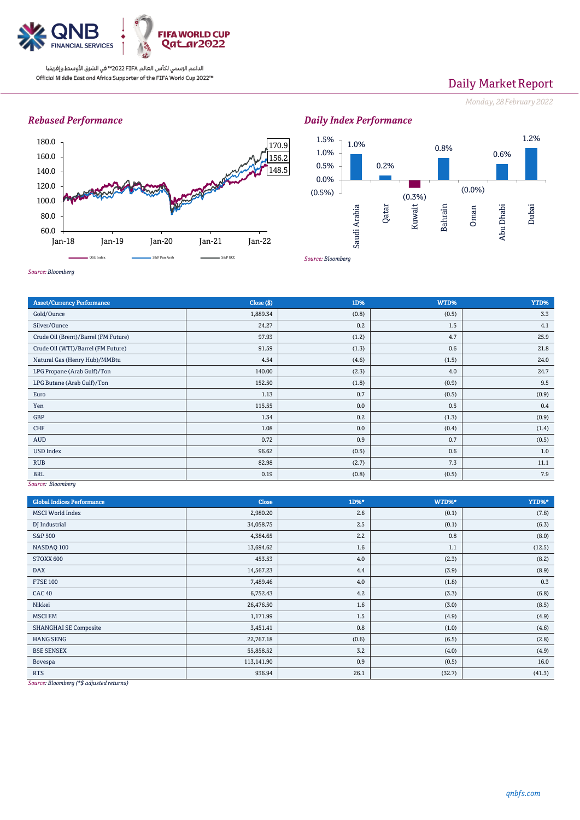

# Daily Market Report

*Monday, 28February2022*

## *Rebased Performance*



*Daily Index Performance* 1.0% 0.2% (0.3%) 0.8%  $(0.0\%)$ 0.6% 1.2% (0.5%) 0.0% 0.5% 1.0% 1.5% Saudi Arabia Qatar Kuwait Bahrain Oman Abu Dhabi Dubai

*Source: Bloomberg*

| <b>Asset/Currency Performance</b>            | Close ( \$) | 1D%   | WTD%  | YTD%  |
|----------------------------------------------|-------------|-------|-------|-------|
| Gold/Ounce                                   | 1,889.34    | (0.8) | (0.5) | 3.3   |
| Silver/Ounce                                 | 24.27       | 0.2   | 1.5   | 4.1   |
| Crude Oil (Brent)/Barrel (FM Future)         | 97.93       | (1.2) | 4.7   | 25.9  |
| Crude Oil (WTI)/Barrel (FM Future)           | 91.59       | (1.3) | 0.6   | 21.8  |
| Natural Gas (Henry Hub)/MMBtu                | 4.54        | (4.6) | (1.5) | 24.0  |
| LPG Propane (Arab Gulf)/Ton                  | 140.00      | (2.3) | 4.0   | 24.7  |
| LPG Butane (Arab Gulf)/Ton                   | 152.50      | (1.8) | (0.9) | 9.5   |
| Euro                                         | 1.13        | 0.7   | (0.5) | (0.9) |
| Yen                                          | 115.55      | 0.0   | 0.5   | 0.4   |
| GBP                                          | 1.34        | 0.2   | (1.3) | (0.9) |
| CHF                                          | 1.08        | 0.0   | (0.4) | (1.4) |
| <b>AUD</b>                                   | 0.72        | 0.9   | 0.7   | (0.5) |
| <b>USD Index</b>                             | 96.62       | (0.5) | 0.6   | 1.0   |
| <b>RUB</b>                                   | 82.98       | (2.7) | 7.3   | 11.1  |
| <b>BRL</b><br>$C_{\text{unim}}$ $D$ land $L$ | 0.19        | (0.8) | (0.5) | 7.9   |

*Source: Bloomberg*

*Source: Bloomberg*

| <b>Global Indices Performance</b>                                                                                             | <b>Close</b> | 1D%*  | WTD%*  | YTD%*   |
|-------------------------------------------------------------------------------------------------------------------------------|--------------|-------|--------|---------|
| <b>MSCI World Index</b>                                                                                                       | 2,980.20     | 2.6   | (0.1)  | (7.8)   |
| DJ Industrial                                                                                                                 | 34,058.75    | 2.5   | (0.1)  | (6.3)   |
| <b>S&amp;P 500</b>                                                                                                            | 4,384.65     | 2.2   | 0.8    | (8.0)   |
| NASDAQ 100                                                                                                                    | 13,694.62    | 1.6   | 1.1    | (12.5)  |
| STOXX 600                                                                                                                     | 453.53       | 4.0   | (2.3)  | (8.2)   |
| <b>DAX</b>                                                                                                                    | 14,567.23    | 4.4   | (3.9)  | (8.9)   |
| <b>FTSE 100</b>                                                                                                               | 7,489.46     | 4.0   | (1.8)  | $0.3\,$ |
| <b>CAC 40</b>                                                                                                                 | 6,752.43     | 4.2   | (3.3)  | (6.8)   |
| Nikkei                                                                                                                        | 26,476.50    | 1.6   | (3.0)  | (8.5)   |
| <b>MSCI EM</b>                                                                                                                | 1,171.99     | 1.5   | (4.9)  | (4.9)   |
| <b>SHANGHAI SE Composite</b>                                                                                                  | 3,451.41     | 0.8   | (1.0)  | (4.6)   |
| <b>HANG SENG</b>                                                                                                              | 22,767.18    | (0.6) | (6.5)  | (2.8)   |
| <b>BSE SENSEX</b>                                                                                                             | 55,858.52    | 3.2   | (4.0)  | (4.9)   |
| Bovespa                                                                                                                       | 113,141.90   | 0.9   | (0.5)  | 16.0    |
| <b>RTS</b><br>the contract of the contract of the contract of the contract of the contract of the contract of the contract of | 936.94       | 26.1  | (32.7) | (41.3)  |

*Source: Bloomberg (\*\$ adjusted returns)*